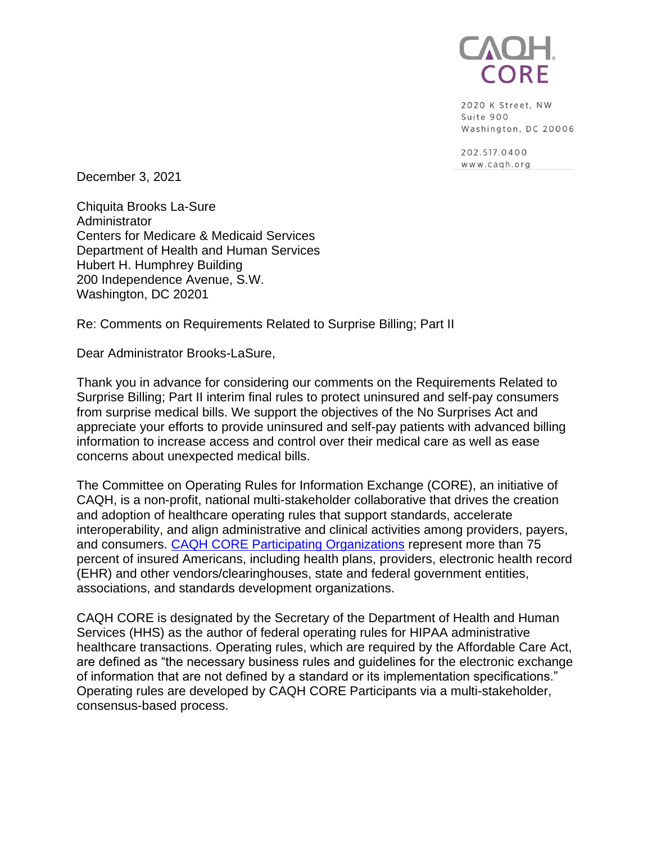

2020 K Street, NW Suite 900 Washington, DC 20006

202.517.0400 www.cagh.org

December 3, 2021

Chiquita Brooks La-Sure **Administrator** Centers for Medicare & Medicaid Services Department of Health and Human Services Hubert H. Humphrey Building 200 Independence Avenue, S.W. Washington, DC 20201

Re: Comments on Requirements Related to Surprise Billing; Part II

Dear Administrator Brooks-LaSure,

Thank you in advance for considering our comments on the Requirements Related to Surprise Billing; Part II interim final rules to protect uninsured and self-pay consumers from surprise medical bills. We support the objectives of the No Surprises Act and appreciate your efforts to provide uninsured and self-pay patients with advanced billing information to increase access and control over their medical care as well as ease concerns about unexpected medical bills.

The Committee on Operating Rules for Information Exchange (CORE), an initiative of CAQH, is a non-profit, national multi-stakeholder collaborative that drives the creation and adoption of healthcare operating rules that support standards, accelerate interoperability, and align administrative and clinical activities among providers, payers, and consumers. [CAQH CORE Participating Organizations](https://www.caqh.org/core/caqh-core-participant-list) represent more than 75 percent of insured Americans, including health plans, providers, electronic health record (EHR) and other vendors/clearinghouses, state and federal government entities, associations, and standards development organizations.

CAQH CORE is designated by the Secretary of the Department of Health and Human Services (HHS) as the author of federal operating rules for HIPAA administrative healthcare transactions. Operating rules, which are required by the Affordable Care Act, are defined as "the necessary business rules and guidelines for the electronic exchange of information that are not defined by a standard or its implementation specifications." Operating rules are developed by CAQH CORE Participants via a multi-stakeholder, consensus-based process.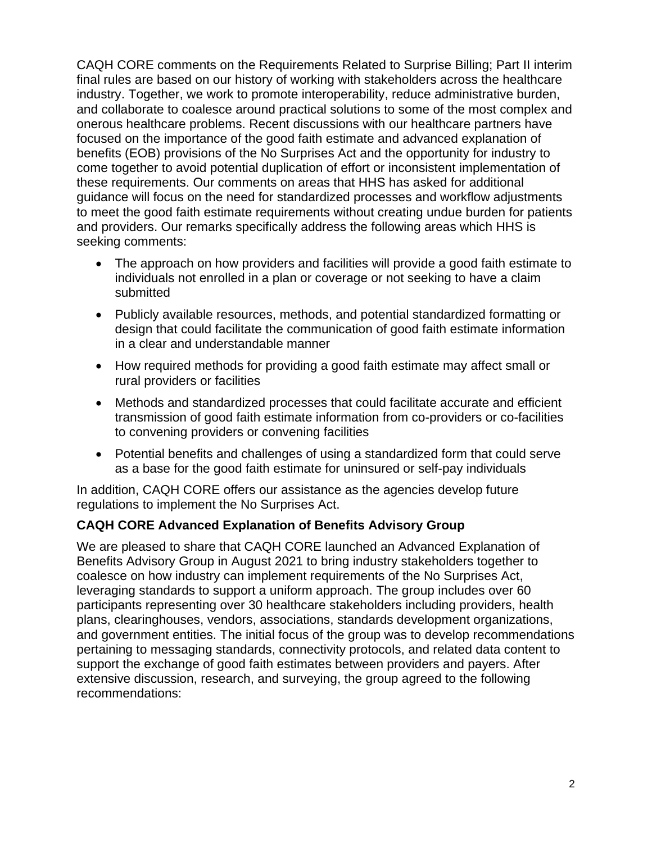CAQH CORE comments on the Requirements Related to Surprise Billing; Part II interim final rules are based on our history of working with stakeholders across the healthcare industry. Together, we work to promote interoperability, reduce administrative burden, and collaborate to coalesce around practical solutions to some of the most complex and onerous healthcare problems. Recent discussions with our healthcare partners have focused on the importance of the good faith estimate and advanced explanation of benefits (EOB) provisions of the No Surprises Act and the opportunity for industry to come together to avoid potential duplication of effort or inconsistent implementation of these requirements. Our comments on areas that HHS has asked for additional guidance will focus on the need for standardized processes and workflow adjustments to meet the good faith estimate requirements without creating undue burden for patients and providers. Our remarks specifically address the following areas which HHS is seeking comments:

- The approach on how providers and facilities will provide a good faith estimate to individuals not enrolled in a plan or coverage or not seeking to have a claim submitted
- Publicly available resources, methods, and potential standardized formatting or design that could facilitate the communication of good faith estimate information in a clear and understandable manner
- How required methods for providing a good faith estimate may affect small or rural providers or facilities
- Methods and standardized processes that could facilitate accurate and efficient transmission of good faith estimate information from co-providers or co-facilities to convening providers or convening facilities
- Potential benefits and challenges of using a standardized form that could serve as a base for the good faith estimate for uninsured or self-pay individuals

In addition, CAQH CORE offers our assistance as the agencies develop future regulations to implement the No Surprises Act.

# **CAQH CORE Advanced Explanation of Benefits Advisory Group**

We are pleased to share that CAQH CORE launched an Advanced Explanation of Benefits Advisory Group in August 2021 to bring industry stakeholders together to coalesce on how industry can implement requirements of the No Surprises Act, leveraging standards to support a uniform approach. The group includes over 60 participants representing over 30 healthcare stakeholders including providers, health plans, clearinghouses, vendors, associations, standards development organizations, and government entities. The initial focus of the group was to develop recommendations pertaining to messaging standards, connectivity protocols, and related data content to support the exchange of good faith estimates between providers and payers. After extensive discussion, research, and surveying, the group agreed to the following recommendations: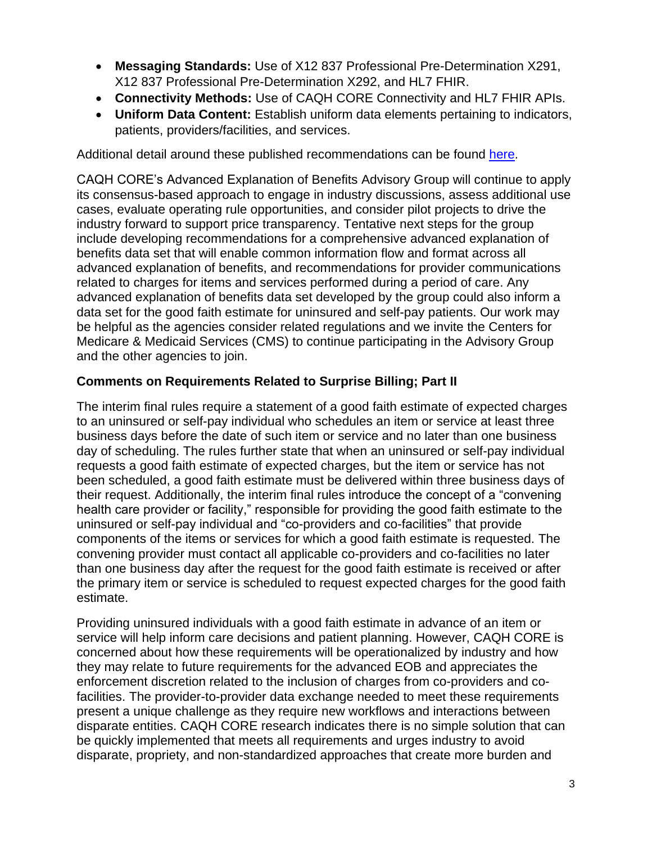- **Messaging Standards:** Use of X12 837 Professional Pre-Determination X291, X12 837 Professional Pre-Determination X292, and HL7 FHIR.
- **Connectivity Methods:** Use of CAQH CORE Connectivity and HL7 FHIR APIs.
- **Uniform Data Content:** Establish uniform data elements pertaining to indicators, patients, providers/facilities, and services.

Additional detail around these published recommendations can be found [here.](https://www.caqh.org/sites/default/files/CORE_Price_Transparency_Whitepaper.pdf)

CAQH CORE's Advanced Explanation of Benefits Advisory Group will continue to apply its consensus-based approach to engage in industry discussions, assess additional use cases, evaluate operating rule opportunities, and consider pilot projects to drive the industry forward to support price transparency. Tentative next steps for the group include developing recommendations for a comprehensive advanced explanation of benefits data set that will enable common information flow and format across all advanced explanation of benefits, and recommendations for provider communications related to charges for items and services performed during a period of care. Any advanced explanation of benefits data set developed by the group could also inform a data set for the good faith estimate for uninsured and self-pay patients. Our work may be helpful as the agencies consider related regulations and we invite the Centers for Medicare & Medicaid Services (CMS) to continue participating in the Advisory Group and the other agencies to join.

# **Comments on Requirements Related to Surprise Billing; Part II**

The interim final rules require a statement of a good faith estimate of expected charges to an uninsured or self-pay individual who schedules an item or service at least three business days before the date of such item or service and no later than one business day of scheduling. The rules further state that when an uninsured or self-pay individual requests a good faith estimate of expected charges, but the item or service has not been scheduled, a good faith estimate must be delivered within three business days of their request. Additionally, the interim final rules introduce the concept of a "convening health care provider or facility," responsible for providing the good faith estimate to the uninsured or self-pay individual and "co-providers and co-facilities" that provide components of the items or services for which a good faith estimate is requested. The convening provider must contact all applicable co-providers and co-facilities no later than one business day after the request for the good faith estimate is received or after the primary item or service is scheduled to request expected charges for the good faith estimate.

Providing uninsured individuals with a good faith estimate in advance of an item or service will help inform care decisions and patient planning. However, CAQH CORE is concerned about how these requirements will be operationalized by industry and how they may relate to future requirements for the advanced EOB and appreciates the enforcement discretion related to the inclusion of charges from co-providers and cofacilities. The provider-to-provider data exchange needed to meet these requirements present a unique challenge as they require new workflows and interactions between disparate entities. CAQH CORE research indicates there is no simple solution that can be quickly implemented that meets all requirements and urges industry to avoid disparate, propriety, and non-standardized approaches that create more burden and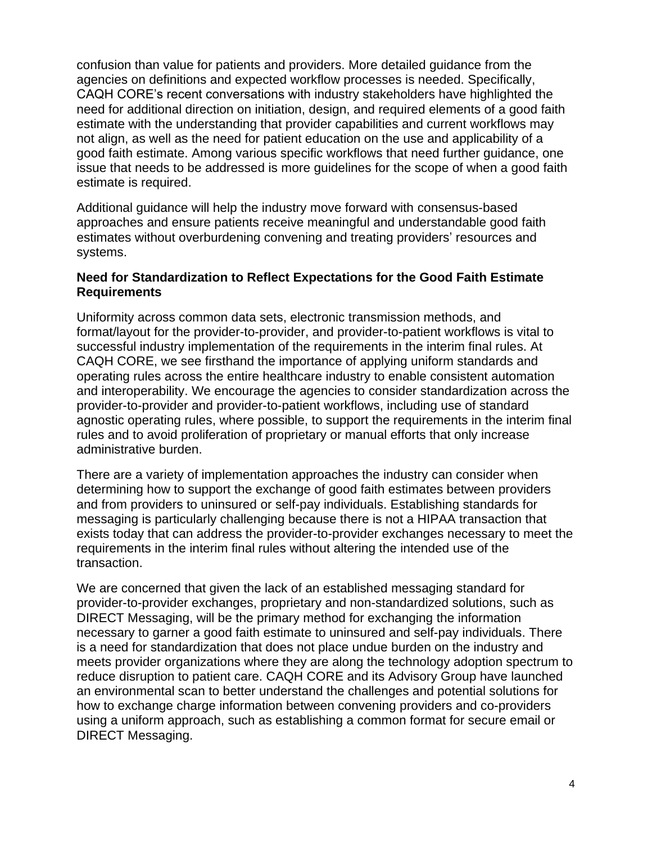confusion than value for patients and providers. More detailed guidance from the agencies on definitions and expected workflow processes is needed. Specifically, CAQH CORE's recent conversations with industry stakeholders have highlighted the need for additional direction on initiation, design, and required elements of a good faith estimate with the understanding that provider capabilities and current workflows may not align, as well as the need for patient education on the use and applicability of a good faith estimate. Among various specific workflows that need further guidance, one issue that needs to be addressed is more guidelines for the scope of when a good faith estimate is required.

Additional guidance will help the industry move forward with consensus-based approaches and ensure patients receive meaningful and understandable good faith estimates without overburdening convening and treating providers' resources and systems.

#### **Need for Standardization to Reflect Expectations for the Good Faith Estimate Requirements**

Uniformity across common data sets, electronic transmission methods, and format/layout for the provider-to-provider, and provider-to-patient workflows is vital to successful industry implementation of the requirements in the interim final rules. At CAQH CORE, we see firsthand the importance of applying uniform standards and operating rules across the entire healthcare industry to enable consistent automation and interoperability. We encourage the agencies to consider standardization across the provider-to-provider and provider-to-patient workflows, including use of standard agnostic operating rules, where possible, to support the requirements in the interim final rules and to avoid proliferation of proprietary or manual efforts that only increase administrative burden.

There are a variety of implementation approaches the industry can consider when determining how to support the exchange of good faith estimates between providers and from providers to uninsured or self-pay individuals. Establishing standards for messaging is particularly challenging because there is not a HIPAA transaction that exists today that can address the provider-to-provider exchanges necessary to meet the requirements in the interim final rules without altering the intended use of the transaction.

We are concerned that given the lack of an established messaging standard for provider-to-provider exchanges, proprietary and non-standardized solutions, such as DIRECT Messaging, will be the primary method for exchanging the information necessary to garner a good faith estimate to uninsured and self-pay individuals. There is a need for standardization that does not place undue burden on the industry and meets provider organizations where they are along the technology adoption spectrum to reduce disruption to patient care. CAQH CORE and its Advisory Group have launched an environmental scan to better understand the challenges and potential solutions for how to exchange charge information between convening providers and co-providers using a uniform approach, such as establishing a common format for secure email or DIRECT Messaging.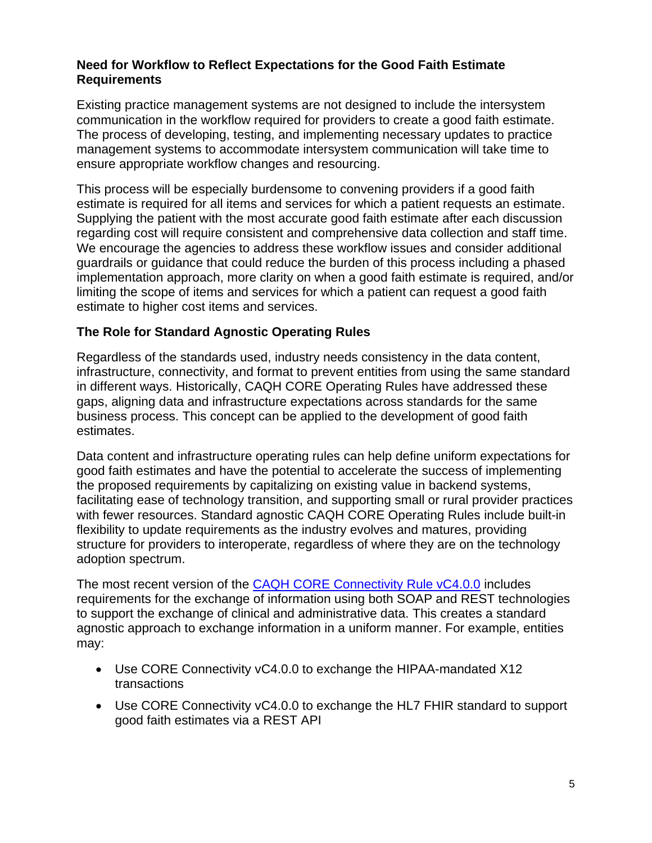#### **Need for Workflow to Reflect Expectations for the Good Faith Estimate Requirements**

Existing practice management systems are not designed to include the intersystem communication in the workflow required for providers to create a good faith estimate. The process of developing, testing, and implementing necessary updates to practice management systems to accommodate intersystem communication will take time to ensure appropriate workflow changes and resourcing.

This process will be especially burdensome to convening providers if a good faith estimate is required for all items and services for which a patient requests an estimate. Supplying the patient with the most accurate good faith estimate after each discussion regarding cost will require consistent and comprehensive data collection and staff time. We encourage the agencies to address these workflow issues and consider additional guardrails or guidance that could reduce the burden of this process including a phased implementation approach, more clarity on when a good faith estimate is required, and/or limiting the scope of items and services for which a patient can request a good faith estimate to higher cost items and services.

#### **The Role for Standard Agnostic Operating Rules**

Regardless of the standards used, industry needs consistency in the data content, infrastructure, connectivity, and format to prevent entities from using the same standard in different ways. Historically, CAQH CORE Operating Rules have addressed these gaps, aligning data and infrastructure expectations across standards for the same business process. This concept can be applied to the development of good faith estimates.

Data content and infrastructure operating rules can help define uniform expectations for good faith estimates and have the potential to accelerate the success of implementing the proposed requirements by capitalizing on existing value in backend systems, facilitating ease of technology transition, and supporting small or rural provider practices with fewer resources. Standard agnostic CAQH CORE Operating Rules include built-in flexibility to update requirements as the industry evolves and matures, providing structure for providers to interoperate, regardless of where they are on the technology adoption spectrum.

The most recent version of the [CAQH CORE Connectivity Rule vC4.0.0](https://www.caqh.org/sites/default/files/core/CAQH%20CORE%20Connectivity%20Rule%20vC4.0.0_0.pdf) includes requirements for the exchange of information using both SOAP and REST technologies to support the exchange of clinical and administrative data. This creates a standard agnostic approach to exchange information in a uniform manner. For example, entities may:

- Use CORE Connectivity vC4.0.0 to exchange the HIPAA-mandated X12 transactions
- Use CORE Connectivity  $vC4.0.0$  to exchange the HL7 FHIR standard to support good faith estimates via a REST API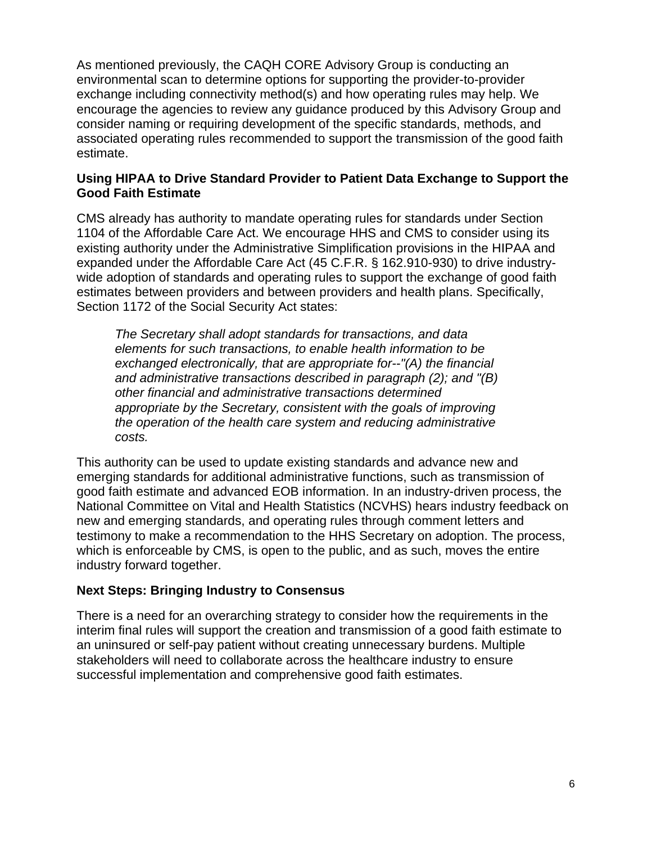As mentioned previously, the CAQH CORE Advisory Group is conducting an environmental scan to determine options for supporting the provider-to-provider exchange including connectivity method(s) and how operating rules may help. We encourage the agencies to review any guidance produced by this Advisory Group and consider naming or requiring development of the specific standards, methods, and associated operating rules recommended to support the transmission of the good faith estimate.

### **Using HIPAA to Drive Standard Provider to Patient Data Exchange to Support the Good Faith Estimate**

CMS already has authority to mandate operating rules for standards under Section 1104 of the Affordable Care Act. We encourage HHS and CMS to consider using its existing authority under the Administrative Simplification provisions in the HIPAA and expanded under the Affordable Care Act (45 C.F.R. § 162.910-930) to drive industrywide adoption of standards and operating rules to support the exchange of good faith estimates between providers and between providers and health plans. Specifically, Section 1172 of the Social Security Act states:

*The Secretary shall adopt standards for transactions, and data elements for such transactions, to enable health information to be exchanged electronically, that are appropriate for--"(A) the financial and administrative transactions described in paragraph (2); and "(B) other financial and administrative transactions determined appropriate by the Secretary, consistent with the goals of improving the operation of the health care system and reducing administrative costs.* 

This authority can be used to update existing standards and advance new and emerging standards for additional administrative functions, such as transmission of good faith estimate and advanced EOB information. In an industry-driven process, the National Committee on Vital and Health Statistics (NCVHS) hears industry feedback on new and emerging standards, and operating rules through comment letters and testimony to make a recommendation to the HHS Secretary on adoption. The process, which is enforceable by CMS, is open to the public, and as such, moves the entire industry forward together.

# **Next Steps: Bringing Industry to Consensus**

There is a need for an overarching strategy to consider how the requirements in the interim final rules will support the creation and transmission of a good faith estimate to an uninsured or self-pay patient without creating unnecessary burdens. Multiple stakeholders will need to collaborate across the healthcare industry to ensure successful implementation and comprehensive good faith estimates.